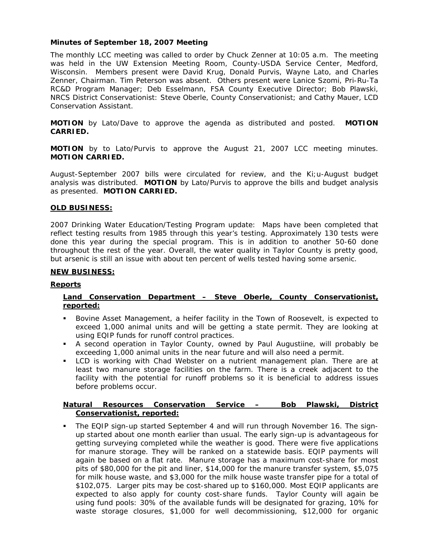# **Minutes of September 18, 2007 Meeting**

The monthly LCC meeting was called to order by Chuck Zenner at 10:05 a.m. The meeting was held in the UW Extension Meeting Room, County-USDA Service Center, Medford, Wisconsin. Members present were David Krug, Donald Purvis, Wayne Lato, and Charles Zenner, Chairman. Tim Peterson was absent. Others present were Lanice Szomi, Pri-Ru-Ta RC&D Program Manager; Deb Esselmann, FSA County Executive Director; Bob Plawski, NRCS District Conservationist: Steve Oberle, County Conservationist; and Cathy Mauer, LCD Conservation Assistant.

**MOTION** by Lato/Dave to approve the agenda as distributed and posted. **MOTION CARRIED.**

**MOTION** by to Lato/Purvis to approve the August 21, 2007 LCC meeting minutes. **MOTION CARRIED.** 

August-September 2007 bills were circulated for review, and the Ki;u-August budget analysis was distributed. **MOTION** by Lato/Purvis to approve the bills and budget analysis as presented. **MOTION CARRIED.**

## **OLD BUSINESS:**

2007 Drinking Water Education/Testing Program update: Maps have been completed that reflect testing results from 1985 through this year's testing. Approximately 130 tests were done this year during the special program. This is in addition to another 50-60 done throughout the rest of the year. Overall, the water quality in Taylor County is pretty good, but arsenic is still an issue with about ten percent of wells tested having some arsenic.

## **NEW BUSINESS:**

# **Reports**

# **Land Conservation Department – Steve Oberle, County Conservationist, reported:**

- Bovine Asset Management, a heifer facility in the Town of Roosevelt, is expected to exceed 1,000 animal units and will be getting a state permit. They are looking at using EQIP funds for runoff control practices.
- A second operation in Taylor County, owned by Paul Augustiine, will probably be exceeding 1,000 animal units in the near future and will also need a permit.
- LCD is working with Chad Webster on a nutrient management plan. There are at least two manure storage facilities on the farm. There is a creek adjacent to the facility with the potential for runoff problems so it is beneficial to address issues before problems occur.

## **Natural Resources Conservation Service – Bob Plawski, District Conservationist, reported:**

 The EQIP sign-up started September 4 and will run through November 16. The signup started about one month earlier than usual. The early sign-up is advantageous for getting surveying completed while the weather is good. There were five applications for manure storage. They will be ranked on a statewide basis. EQIP payments will again be based on a flat rate. Manure storage has a maximum cost-share for most pits of \$80,000 for the pit and liner, \$14,000 for the manure transfer system, \$5,075 for milk house waste, and \$3,000 for the milk house waste transfer pipe for a total of \$102,075. Larger pits may be cost-shared up to \$160,000. Most EQIP applicants are expected to also apply for county cost-share funds. Taylor County will again be using fund pools: 30% of the available funds will be designated for grazing, 10% for waste storage closures, \$1,000 for well decommissioning, \$12,000 for organic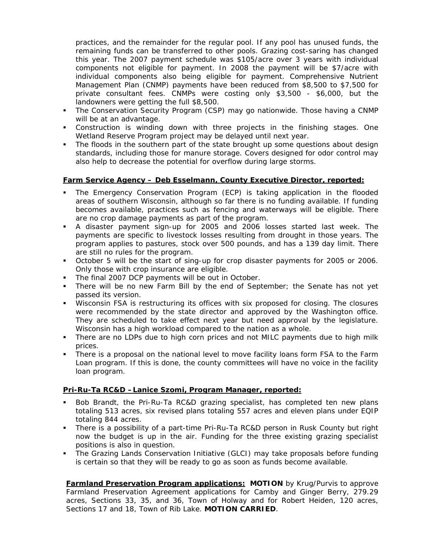practices, and the remainder for the regular pool. If any pool has unused funds, the remaining funds can be transferred to other pools. Grazing cost-saring has changed this year. The 2007 payment schedule was \$105/acre over 3 years with individual components not eligible for payment. In 2008 the payment will be \$7/acre with individual components also being eligible for payment. Comprehensive Nutrient Management Plan (CNMP) payments have been reduced from \$8,500 to \$7,500 for private consultant fees. CNMPs were costing only \$3,500 - \$6,000, but the landowners were getting the full \$8,500.

- The Conservation Security Program (CSP) may go nationwide. Those having a CNMP will be at an advantage.
- Construction is winding down with three projects in the finishing stages. One Wetland Reserve Program project may be delayed until next year.
- The floods in the southern part of the state brought up some questions about design standards, including those for manure storage. Covers designed for odor control may also help to decrease the potential for overflow during large storms.

## **Farm Service Agency – Deb Esselmann, County Executive Director, reported:**

- The Emergency Conservation Program (ECP) is taking application in the flooded areas of southern Wisconsin, although so far there is no funding available. If funding becomes available, practices such as fencing and waterways will be eligible. There are no crop damage payments as part of the program.
- A disaster payment sign-up for 2005 and 2006 losses started last week. The payments are specific to livestock losses resulting from drought in those years. The program applies to pastures, stock over 500 pounds, and has a 139 day limit. There are still no rules for the program.
- October 5 will be the start of sing-up for crop disaster payments for 2005 or 2006. Only those with crop insurance are eligible.
- The final 2007 DCP payments will be out in October.
- There will be no new Farm Bill by the end of September; the Senate has not yet passed its version.
- Wisconsin FSA is restructuring its offices with six proposed for closing. The closures were recommended by the state director and approved by the Washington office. They are scheduled to take effect next year but need approval by the legislature. Wisconsin has a high workload compared to the nation as a whole.
- There are no LDPs due to high corn prices and not MILC payments due to high milk prices.
- There is a proposal on the national level to move facility loans form FSA to the Farm Loan program. If this is done, the county committees will have no voice in the facility loan program.

# **Pri-Ru-Ta RC&D –Lanice Szomi, Program Manager, reported:**

- Bob Brandt, the Pri-Ru-Ta RC&D grazing specialist, has completed ten new plans totaling 513 acres, six revised plans totaling 557 acres and eleven plans under EQIP totaling 844 acres.
- There is a possibility of a part-time Pri-Ru-Ta RC&D person in Rusk County but right now the budget is up in the air. Funding for the three existing grazing specialist positions is also in question.
- The Grazing Lands Conservation Initiative (GLCI) may take proposals before funding is certain so that they will be ready to go as soon as funds become available.

**Farmland Preservation Program applications: MOTION** by Krug/Purvis to approve Farmland Preservation Agreement applications for Camby and Ginger Berry, 279.29 acres, Sections 33, 35, and 36, Town of Holway and for Robert Heiden, 120 acres, Sections 17 and 18, Town of Rib Lake. **MOTION CARRIED**.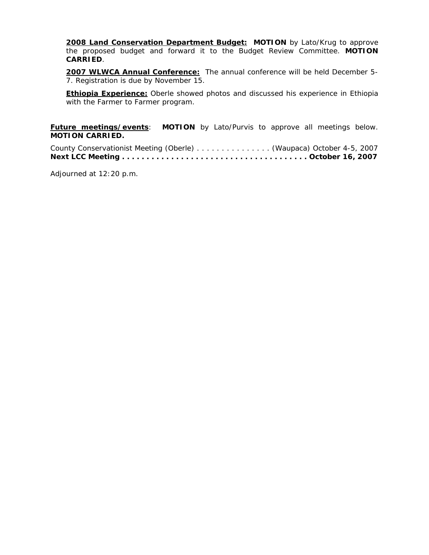**2008 Land Conservation Department Budget: MOTION** by Lato/Krug to approve the proposed budget and forward it to the Budget Review Committee. **MOTION CARRIED**.

**2007 WLWCA Annual Conference:** The annual conference will be held December 5- 7. Registration is due by November 15.

**Ethiopia Experience:** Oberle showed photos and discussed his experience in Ethiopia with the Farmer to Farmer program.

**Future meetings/events**: **MOTION** by Lato/Purvis to approve all meetings below. **MOTION CARRIED.** 

County Conservationist Meeting (Oberle) . . . . . . . . . . . . . . . (Waupaca) October 4-5, 2007 **Next LCC Meeting . . . . . . . . . . . . . . . . . . . . . . . . . . . . . . . . . . . . . . October 16, 2007** 

Adjourned at 12:20 p.m.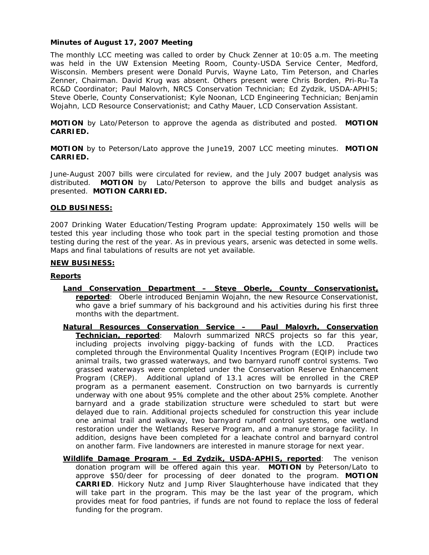## **Minutes of August 17, 2007 Meeting**

The monthly LCC meeting was called to order by Chuck Zenner at 10:05 a.m. The meeting was held in the UW Extension Meeting Room, County-USDA Service Center, Medford, Wisconsin. Members present were Donald Purvis, Wayne Lato, Tim Peterson, and Charles Zenner, Chairman. David Krug was absent. Others present were Chris Borden, Pri-Ru-Ta RC&D Coordinator; Paul Malovrh, NRCS Conservation Technician; Ed Zydzik, USDA-APHIS; Steve Oberle, County Conservationist; Kyle Noonan, LCD Engineering Technician; Benjamin Wojahn, LCD Resource Conservationist; and Cathy Mauer, LCD Conservation Assistant.

**MOTION** by Lato/Peterson to approve the agenda as distributed and posted. **MOTION CARRIED.**

**MOTION** by to Peterson/Lato approve the June19, 2007 LCC meeting minutes. **MOTION CARRIED.** 

June-August 2007 bills were circulated for review, and the July 2007 budget analysis was distributed. **MOTION** by Lato/Peterson to approve the bills and budget analysis as presented. **MOTION CARRIED.**

## **OLD BUSINESS:**

2007 Drinking Water Education/Testing Program update: Approximately 150 wells will be tested this year including those who took part in the special testing promotion and those testing during the rest of the year. As in previous years, arsenic was detected in some wells. Maps and final tabulations of results are not yet available.

#### **NEW BUSINESS:**

#### **Reports**

- **Land Conservation Department Steve Oberle, County Conservationist, reported**: Oberle introduced Benjamin Wojahn, the new Resource Conservationist, who gave a brief summary of his background and his activities during his first three months with the department.
- **Natural Resources Conservation Service Paul Malovrh, Conservation Technician, reported**: Malovrh summarized NRCS projects so far this year, including projects involving piggy-backing of funds with the LCD. Practices completed through the Environmental Quality Incentives Program (EQIP) include two animal trails, two grassed waterways, and two barnyard runoff control systems. Two grassed waterways were completed under the Conservation Reserve Enhancement Program (CREP). Additional upland of 13.1 acres will be enrolled in the CREP program as a permanent easement. Construction on two barnyards is currently underway with one about 95% complete and the other about 25% complete. Another barnyard and a grade stabilization structure were scheduled to start but were delayed due to rain. Additional projects scheduled for construction this year include one animal trail and walkway, two barnyard runoff control systems, one wetland restoration under the Wetlands Reserve Program, and a manure storage facility. In addition, designs have been completed for a leachate control and barnyard control on another farm. Five landowners are interested in manure storage for next year.
- **Wildlife Damage Program Ed Zydzik, USDA-APHIS, reported**: The venison donation program will be offered again this year. **MOTION** by Peterson/Lato to approve \$50/deer for processing of deer donated to the program. **MOTION CARRIED**. Hickory Nutz and Jump River Slaughterhouse have indicated that they will take part in the program. This may be the last year of the program, which provides meat for food pantries, if funds are not found to replace the loss of federal funding for the program.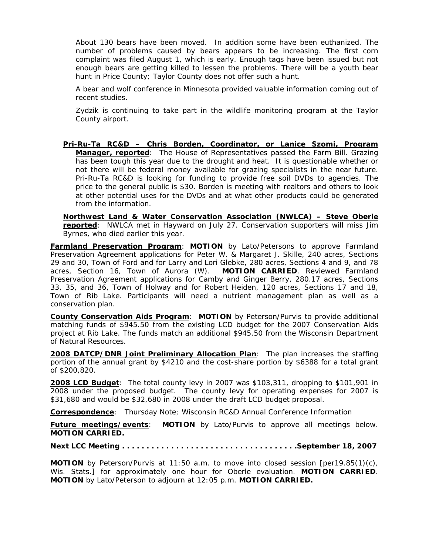About 130 bears have been moved. In addition some have been euthanized. The number of problems caused by bears appears to be increasing. The first corn complaint was filed August 1, which is early. Enough tags have been issued but not enough bears are getting killed to lessen the problems. There will be a youth bear hunt in Price County; Taylor County does not offer such a hunt.

A bear and wolf conference in Minnesota provided valuable information coming out of recent studies.

Zydzik is continuing to take part in the wildlife monitoring program at the Taylor County airport.

**Pri-Ru-Ta RC&D – Chris Borden, Coordinator, or Lanice Szomi, Program Manager, reported**: The House of Representatives passed the Farm Bill. Grazing has been tough this year due to the drought and heat. It is questionable whether or not there will be federal money available for grazing specialists in the near future. Pri-Ru-Ta RC&D is looking for funding to provide free soil DVDs to agencies. The price to the general public is \$30. Borden is meeting with realtors and others to look at other potential uses for the DVDs and at what other products could be generated from the information.

**Northwest Land & Water Conservation Association (NWLCA) – Steve Oberle reported**: NWLCA met in Hayward on July 27. Conservation supporters will miss Jim Byrnes, who died earlier this year.

**Farmland Preservation Program**: **MOTION** by Lato/Petersons to approve Farmland Preservation Agreement applications for Peter W. & Margaret J. Skille, 240 acres, Sections 29 and 30, Town of Ford and for Larry and Lori Glebke, 280 acres, Sections 4 and 9, and 78 acres, Section 16, Town of Aurora (W). **MOTION CARRIED**. Reviewed Farmland Preservation Agreement applications for Camby and Ginger Berry, 280.17 acres, Sections 33, 35, and 36, Town of Holway and for Robert Heiden, 120 acres, Sections 17 and 18, Town of Rib Lake. Participants will need a nutrient management plan as well as a conservation plan.

**County Conservation Aids Program**: **MOTION** by Peterson/Purvis to provide additional matching funds of \$945.50 from the existing LCD budget for the 2007 Conservation Aids project at Rib Lake. The funds match an additional \$945.50 from the Wisconsin Department of Natural Resources.

**2008 DATCP/DNR Joint Preliminary Allocation Plan**: The plan increases the staffing portion of the annual grant by \$4210 and the cost-share portion by \$6388 for a total grant of \$200,820.

**2008 LCD Budget**: The total county levy in 2007 was \$103,311, dropping to \$101,901 in 2008 under the proposed budget. The county levy for operating expenses for 2007 is \$31,680 and would be \$32,680 in 2008 under the draft LCD budget proposal.

**Correspondence**: *Thursday Note*; Wisconsin RC&D Annual Conference Information

**Future meetings/events**: **MOTION** by Lato/Purvis to approve all meetings below. **MOTION CARRIED.** 

**Next LCC Meeting . . . . . . . . . . . . . . . . . . . . . . . . . . . . . . . . . . . .September 18, 2007** 

**MOTION** by Peterson/Purvis at 11:50 a.m. to move into closed session [per19.85(1)(c), Wis. Stats.] for approximately one hour for Oberle evaluation. **MOTION CARRIED**. **MOTION** by Lato/Peterson to adjourn at 12:05 p.m. **MOTION CARRIED.**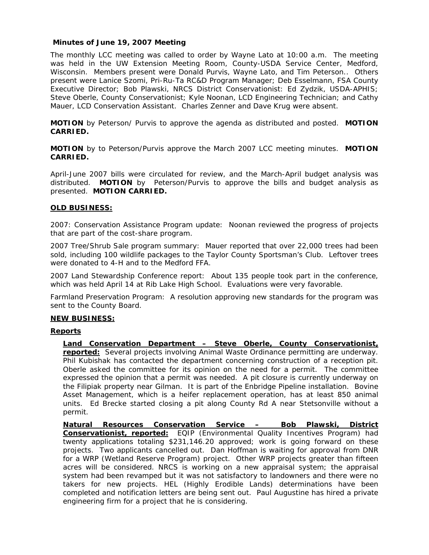## **Minutes of June 19, 2007 Meeting**

The monthly LCC meeting was called to order by Wayne Lato at 10:00 a.m. The meeting was held in the UW Extension Meeting Room, County-USDA Service Center, Medford, Wisconsin. Members present were Donald Purvis, Wayne Lato, and Tim Peterson.. Others present were Lanice Szomi, Pri-Ru-Ta RC&D Program Manager; Deb Esselmann, FSA County Executive Director; Bob Plawski, NRCS District Conservationist: Ed Zydzik, USDA-APHIS; Steve Oberle, County Conservationist; Kyle Noonan, LCD Engineering Technician; and Cathy Mauer, LCD Conservation Assistant. Charles Zenner and Dave Krug were absent.

**MOTION** by Peterson/ Purvis to approve the agenda as distributed and posted. **MOTION CARRIED.**

**MOTION** by to Peterson/Purvis approve the March 2007 LCC meeting minutes. **MOTION CARRIED.** 

April-June 2007 bills were circulated for review, and the March-April budget analysis was distributed. **MOTION** by Peterson/Purvis to approve the bills and budget analysis as presented. **MOTION CARRIED.**

## **OLD BUSINESS:**

2007: Conservation Assistance Program update: Noonan reviewed the progress of projects that are part of the cost-share program.

2007 Tree/Shrub Sale program summary: Mauer reported that over 22,000 trees had been sold, including 100 wildlife packages to the Taylor County Sportsman's Club. Leftover trees were donated to 4-H and to the Medford FFA.

2007 Land Stewardship Conference report: About 135 people took part in the conference, which was held April 14 at Rib Lake High School. Evaluations were very favorable.

Farmland Preservation Program: A resolution approving new standards for the program was sent to the County Board.

#### **NEW BUSINESS:**

#### **Reports**

**Land Conservation Department – Steve Oberle, County Conservationist, reported:** Several projects involving Animal Waste Ordinance permitting are underway. Phil Kubishak has contacted the department concerning construction of a reception pit. Oberle asked the committee for its opinion on the need for a permit. The committee expressed the opinion that a permit was needed. A pit closure is currently underway on the Filipiak property near Gilman. It is part of the Enbridge Pipeline installation. Bovine Asset Management, which is a heifer replacement operation, has at least 850 animal units. Ed Brecke started closing a pit along County Rd A near Stetsonville without a permit.

**Natural Resources Conservation Service – Bob Plawski, District Conservationist, reported:** EQIP (Environmental Quality Incentives Program) had twenty applications totaling \$231,146.20 approved; work is going forward on these projects. Two applicants cancelled out. Dan Hoffman is waiting for approval from DNR for a WRP (Wetland Reserve Program) project. Other WRP projects greater than fifteen acres will be considered. NRCS is working on a new appraisal system; the appraisal system had been revamped but it was not satisfactory to landowners and there were no takers for new projects. HEL (Highly Erodible Lands) determinations have been completed and notification letters are being sent out. Paul Augustine has hired a private engineering firm for a project that he is considering.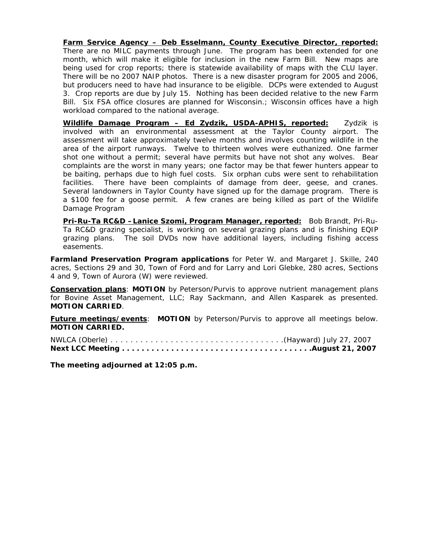**Farm Service Agency – Deb Esselmann, County Executive Director, reported:** There are no MILC payments through June. The program has been extended for one month, which will make it eligible for inclusion in the new Farm Bill. New maps are being used for crop reports; there is statewide availability of maps with the CLU layer. There will be no 2007 NAIP photos. There is a new disaster program for 2005 and 2006, but producers need to have had insurance to be eligible. DCPs were extended to August 3. Crop reports are due by July 15. Nothing has been decided relative to the new Farm Bill. Six FSA office closures are planned for Wisconsin.; Wisconsin offices have a high workload compared to the national average.

**Wildlife Damage Program – Ed Zydzik, USDA-APHIS, reported:** Zydzik is involved with an environmental assessment at the Taylor County airport. The assessment will take approximately twelve months and involves counting wildlife in the area of the airport runways. Twelve to thirteen wolves were euthanized. One farmer shot one without a permit; several have permits but have not shot any wolves. Bear complaints are the worst in many years; one factor may be that fewer hunters appear to be baiting, perhaps due to high fuel costs. Six orphan cubs were sent to rehabilitation facilities. There have been complaints of damage from deer, geese, and cranes. Several landowners in Taylor County have signed up for the damage program. There is a \$100 fee for a goose permit. A few cranes are being killed as part of the Wildlife Damage Program

**Pri-Ru-Ta RC&D –Lanice Szomi, Program Manager, reported:** Bob Brandt, Pri-Ru-Ta RC&D grazing specialist, is working on several grazing plans and is finishing EQIP grazing plans. The soil DVDs now have additional layers, including fishing access easements.

**Farmland Preservation Program applications** for Peter W. and Margaret J. Skille, 240 acres, Sections 29 and 30, Town of Ford and for Larry and Lori Glebke, 280 acres, Sections 4 and 9, Town of Aurora (W) were reviewed.

**Conservation plans**: **MOTION** by Peterson/Purvis to approve nutrient management plans for Bovine Asset Management, LLC; Ray Sackmann, and Allen Kasparek as presented. **MOTION CARRIED**.

**Future meetings/events**: **MOTION** by Peterson/Purvis to approve all meetings below. **MOTION CARRIED.** 

**The meeting adjourned at 12:05 p.m.**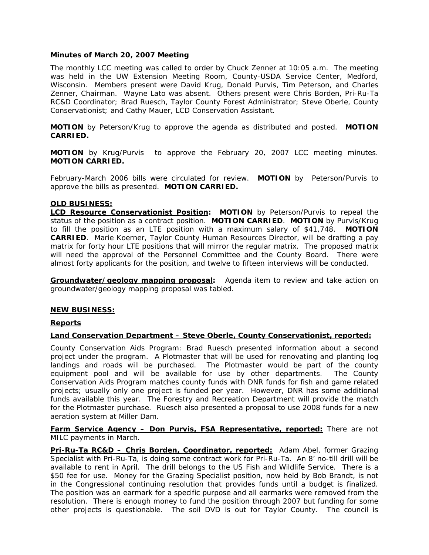## **Minutes of March 20, 2007 Meeting**

The monthly LCC meeting was called to order by Chuck Zenner at 10:05 a.m. The meeting was held in the UW Extension Meeting Room, County-USDA Service Center, Medford, Wisconsin. Members present were David Krug, Donald Purvis, Tim Peterson, and Charles Zenner, Chairman. Wayne Lato was absent. Others present were Chris Borden, Pri-Ru-Ta RC&D Coordinator; Brad Ruesch, Taylor County Forest Administrator; Steve Oberle, County Conservationist; and Cathy Mauer, LCD Conservation Assistant.

**MOTION** by Peterson/Krug to approve the agenda as distributed and posted. **MOTION CARRIED.**

**MOTION** by Krug/Purvis to approve the February 20, 2007 LCC meeting minutes. **MOTION CARRIED.** 

February-March 2006 bills were circulated for review. **MOTION** by Peterson/Purvis to approve the bills as presented. **MOTION CARRIED.**

## **OLD BUSINESS:**

**LCD Resource Conservationist Position:** MOTION by Peterson/Purvis to repeal the status of the position as a contract position. **MOTION CARRIED**. **MOTION** by Purvis/Krug to fill the position as an LTE position with a maximum salary of \$41,748. **MOTION CARRIED**. Marie Koerner, Taylor County Human Resources Director, will be drafting a pay matrix for forty hour LTE positions that will mirror the regular matrix. The proposed matrix will need the approval of the Personnel Committee and the County Board. There were almost forty applicants for the position, and twelve to fifteen interviews will be conducted.

**Groundwater/geology mapping proposal:** Agenda item to review and take action on groundwater/geology mapping proposal was tabled.

#### **NEW BUSINESS:**

#### **Reports**

#### **Land Conservation Department – Steve Oberle, County Conservationist, reported:**

County Conservation Aids Program: Brad Ruesch presented information about a second project under the program. A Plotmaster that will be used for renovating and planting log landings and roads will be purchased. The Plotmaster would be part of the county equipment pool and will be available for use by other departments. The County Conservation Aids Program matches county funds with DNR funds for fish and game related projects; usually only one project is funded per year. However, DNR has some additional funds available this year. The Forestry and Recreation Department will provide the match for the Plotmaster purchase. Ruesch also presented a proposal to use 2008 funds for a new aeration system at Miller Dam.

**Farm Service Agency – Don Purvis, FSA Representative, reported:** There are not MILC payments in March.

**Pri-Ru-Ta RC&D – Chris Borden, Coordinator, reported:** Adam Abel, former Grazing Specialist with Pri-Ru-Ta, is doing some contract work for Pri-Ru-Ta. An 8' no-till drill will be available to rent in April. The drill belongs to the US Fish and Wildlife Service. There is a \$50 fee for use. Money for the Grazing Specialist position, now held by Bob Brandt, is not in the Congressional continuing resolution that provides funds until a budget is finalized. The position was an earmark for a specific purpose and all earmarks were removed from the resolution. There is enough money to fund the position through 2007 but funding for some other projects is questionable. The soil DVD is out for Taylor County. The council is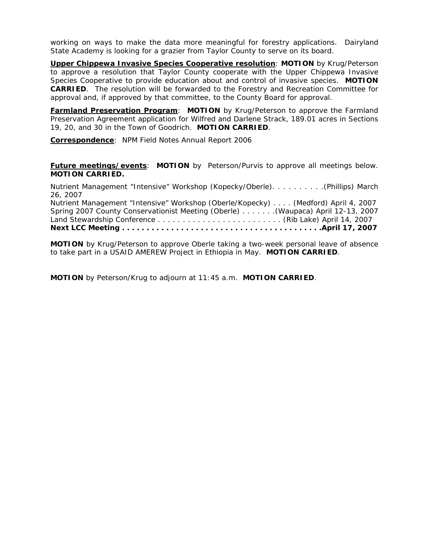working on ways to make the data more meaningful for forestry applications. Dairyland State Academy is looking for a grazier from Taylor County to serve on its board.

**Upper Chippewa Invasive Species Cooperative resolution**: **MOTION** by Krug/Peterson to approve a resolution that Taylor County cooperate with the Upper Chippewa Invasive Species Cooperative to provide education about and control of invasive species. **MOTION CARRIED**. The resolution will be forwarded to the Forestry and Recreation Committee for approval and, if approved by that committee, to the County Board for approval.

**Farmland Preservation Program**: **MOTION** by Krug/Peterson to approve the Farmland Preservation Agreement application for Wilfred and Darlene Strack, 189.01 acres in Sections 19, 20, and 30 in the Town of Goodrich. **MOTION CARRIED**.

**Correspondence**: *NPM Field Notes Annual Report 2006*

**Future meetings/events**: **MOTION** by Peterson/Purvis to approve all meetings below. **MOTION CARRIED.** 

Nutrient Management "Intensive" Workshop (Kopecky/Oberle). . . . . . . . . .(Phillips) March 26, 2007 Nutrient Management "Intensive" Workshop (Oberle/Kopecky) . . . . (Medford) April 4, 2007 Spring 2007 County Conservationist Meeting (Oberle) . . . . . . .(Waupaca) April 12-13, 2007 Land Stewardship Conference . . . . . . . . . . . . . . . . . . . . . . . . . (Rib Lake) April 14, 2007 **Next LCC Meeting . . . . . . . . . . . . . . . . . . . . . . . . . . . . . . . . . . . . . . . . .April 17, 2007** 

**MOTION** by Krug/Peterson to approve Oberle taking a two-week personal leave of absence to take part in a USAID AMEREW Project in Ethiopia in May. **MOTION CARRIED**.

**MOTION** by Peterson/Krug to adjourn at 11:45 a.m. **MOTION CARRIED**.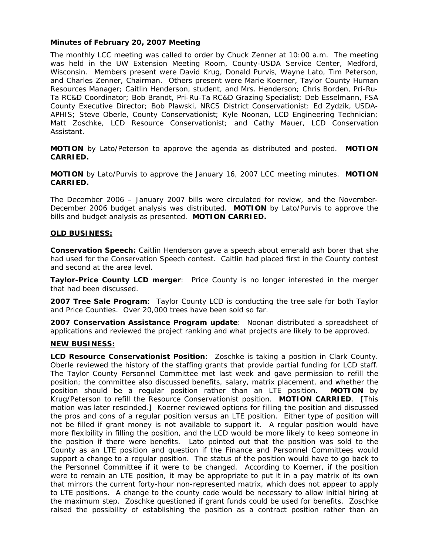## **Minutes of February 20, 2007 Meeting**

The monthly LCC meeting was called to order by Chuck Zenner at 10:00 a.m. The meeting was held in the UW Extension Meeting Room, County-USDA Service Center, Medford, Wisconsin. Members present were David Krug, Donald Purvis, Wayne Lato, Tim Peterson, and Charles Zenner, Chairman. Others present were Marie Koerner, Taylor County Human Resources Manager; Caitlin Henderson, student, and Mrs. Henderson; Chris Borden, Pri-Ru-Ta RC&D Coordinator; Bob Brandt, Pri-Ru-Ta RC&D Grazing Specialist; Deb Esselmann, FSA County Executive Director; Bob Plawski, NRCS District Conservationist: Ed Zydzik, USDA-APHIS; Steve Oberle, County Conservationist; Kyle Noonan, LCD Engineering Technician; Matt Zoschke, LCD Resource Conservationist; and Cathy Mauer, LCD Conservation Assistant.

**MOTION** by Lato/Peterson to approve the agenda as distributed and posted. **MOTION CARRIED.**

**MOTION** by Lato/Purvis to approve the January 16, 2007 LCC meeting minutes. **MOTION CARRIED.** 

The December 2006 – January 2007 bills were circulated for review, and the November-December 2006 budget analysis was distributed. **MOTION** by Lato/Purvis to approve the bills and budget analysis as presented. **MOTION CARRIED.**

## **OLD BUSINESS:**

**Conservation Speech:** Caitlin Henderson gave a speech about emerald ash borer that she had used for the Conservation Speech contest. Caitlin had placed first in the County contest and second at the area level.

**Taylor-Price County LCD merger**: Price County is no longer interested in the merger that had been discussed.

**2007 Tree Sale Program**: Taylor County LCD is conducting the tree sale for both Taylor and Price Counties. Over 20,000 trees have been sold so far.

**2007 Conservation Assistance Program update**: Noonan distributed a spreadsheet of applications and reviewed the project ranking and what projects are likely to be approved.

#### **NEW BUSINESS:**

**LCD Resource Conservationist Position**: Zoschke is taking a position in Clark County. Oberle reviewed the history of the staffing grants that provide partial funding for LCD staff. The Taylor County Personnel Committee met last week and gave permission to refill the position; the committee also discussed benefits, salary, matrix placement, and whether the position should be a regular position rather than an LTE position. **MOTION** by Krug/Peterson to refill the Resource Conservationist position. **MOTION CARRIED**. [This motion was later rescinded.] Koerner reviewed options for filling the position and discussed the pros and cons of a regular position versus an LTE position. Either type of position will not be filled if grant money is not available to support it. A regular position would have more flexibility in filling the position, and the LCD would be more likely to keep someone in the position if there were benefits. Lato pointed out that the position was sold to the County as an LTE position and question if the Finance and Personnel Committees would support a change to a regular position. The status of the position would have to go back to the Personnel Committee if it were to be changed. According to Koerner, if the position were to remain an LTE position, it may be appropriate to put it in a pay matrix of its own that mirrors the current forty-hour non-represented matrix, which does not appear to apply to LTE positions. A change to the county code would be necessary to allow initial hiring at the maximum step. Zoschke questioned if grant funds could be used for benefits. Zoschke raised the possibility of establishing the position as a contract position rather than an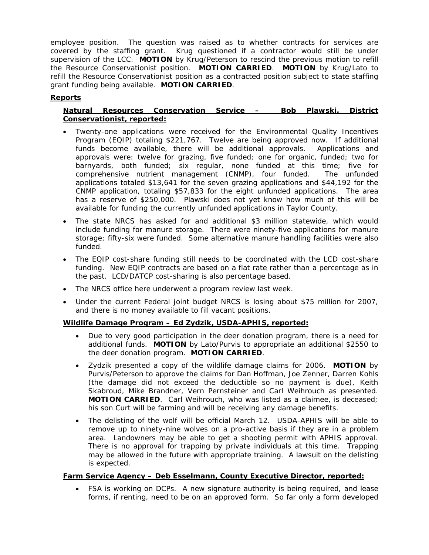employee position. The question was raised as to whether contracts for services are covered by the staffing grant. Krug questioned if a contractor would still be under supervision of the LCC. **MOTION** by Krug/Peterson to rescind the previous motion to refill the Resource Conservationist position. **MOTION CARRIED**. **MOTION** by Krug/Lato to refill the Resource Conservationist position as a contracted position subject to state staffing grant funding being available. **MOTION CARRIED**.

# **Reports**

# **Natural Resources Conservation Service – Bob Plawski, District Conservationist, reported:**

- Twenty-one applications were received for the Environmental Quality Incentives Program (EQIP) totaling \$221,767. Twelve are being approved now. If additional funds become available, there will be additional approvals. Applications and approvals were: twelve for grazing, five funded; one for organic, funded; two for barnyards, both funded; six regular, none funded at this time; five for comprehensive nutrient management (CNMP), four funded. The unfunded applications totaled \$13,641 for the seven grazing applications and \$44,192 for the CNMP application, totaling \$57,833 for the eight unfunded applications. The area has a reserve of \$250,000. Plawski does not yet know how much of this will be available for funding the currently unfunded applications in Taylor County.
- The state NRCS has asked for and additional \$3 million statewide, which would include funding for manure storage. There were ninety-five applications for manure storage; fifty-six were funded. Some alternative manure handling facilities were also funded.
- The EQIP cost-share funding still needs to be coordinated with the LCD cost-share funding. New EQIP contracts are based on a flat rate rather than a percentage as in the past. LCD/DATCP cost-sharing is also percentage based.
- The NRCS office here underwent a program review last week.
- Under the current Federal joint budget NRCS is losing about \$75 million for 2007, and there is no money available to fill vacant positions.

# **Wildlife Damage Program – Ed Zydzik, USDA-APHIS, reported:**

- Due to very good participation in the deer donation program, there is a need for additional funds. **MOTION** by Lato/Purvis to appropriate an additional \$2550 to the deer donation program. **MOTION CARRIED**.
- Zydzik presented a copy of the wildlife damage claims for 2006. **MOTION** by Purvis/Peterson to approve the claims for Dan Hoffman, Joe Zenner, Darren Kohls (the damage did not exceed the deductible so no payment is due), Keith Skabroud, Mike Brandner, Vern Pernsteiner and Carl Weihrouch as presented. **MOTION CARRIED**. Carl Weihrouch, who was listed as a claimee, is deceased; his son Curt will be farming and will be receiving any damage benefits.
- The delisting of the wolf will be official March 12. USDA-APHIS will be able to remove up to ninety-nine wolves on a pro-active basis if they are in a problem area. Landowners may be able to get a shooting permit with APHIS approval. There is no approval for trapping by private individuals at this time. Trapping may be allowed in the future with appropriate training. A lawsuit on the delisting is expected.

# **Farm Service Agency – Deb Esselmann, County Executive Director, reported:**

• FSA is working on DCPs. A new signature authority is being required, and lease forms, if renting, need to be on an approved form. So far only a form developed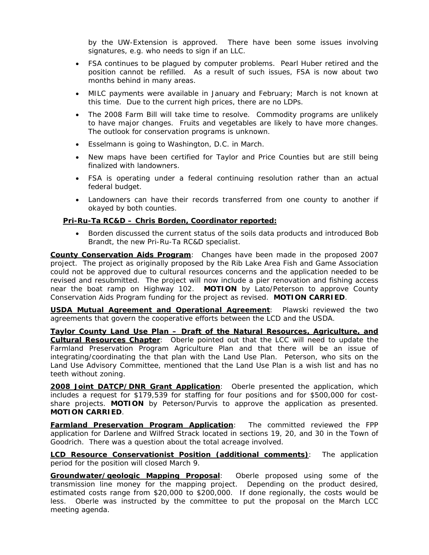by the UW-Extension is approved. There have been some issues involving signatures, e.g. who needs to sign if an LLC.

- FSA continues to be plagued by computer problems. Pearl Huber retired and the position cannot be refilled. As a result of such issues, FSA is now about two months behind in many areas.
- MILC payments were available in January and February; March is not known at this time. Due to the current high prices, there are no LDPs.
- The 2008 Farm Bill will take time to resolve. Commodity programs are unlikely to have major changes. Fruits and vegetables are likely to have more changes. The outlook for conservation programs is unknown.
- Esselmann is going to Washington, D.C. in March.
- New maps have been certified for Taylor and Price Counties but are still being finalized with landowners.
- FSA is operating under a federal continuing resolution rather than an actual federal budget.
- Landowners can have their records transferred from one county to another if okayed by both counties.

## **Pri-Ru-Ta RC&D – Chris Borden, Coordinator reported:**

• Borden discussed the current status of the soils data products and introduced Bob Brandt, the new Pri-Ru-Ta RC&D specialist.

**County Conservation Aids Program**: Changes have been made in the proposed 2007 project. The project as originally proposed by the Rib Lake Area Fish and Game Association could not be approved due to cultural resources concerns and the application needed to be revised and resubmitted. The project will now include a pier renovation and fishing access near the boat ramp on Highway 102. **MOTION** by Lato/Peterson to approve County Conservation Aids Program funding for the project as revised. **MOTION CARRIED**.

**USDA Mutual Agreement and Operational Agreement**: Plawski reviewed the two agreements that govern the cooperative efforts between the LCD and the USDA.

**Taylor County Land Use Plan – Draft of the Natural Resources, Agriculture, and Cultural Resources Chapter**: Oberle pointed out that the LCC will need to update the Farmland Preservation Program Agriculture Plan and that there will be an issue of integrating/coordinating the that plan with the Land Use Plan. Peterson, who sits on the Land Use Advisory Committee, mentioned that the Land Use Plan is a wish list and has no teeth without zoning.

**2008 Joint DATCP/DNR Grant Application**: Oberle presented the application, which includes a request for \$179,539 for staffing for four positions and for \$500,000 for costshare projects. **MOTION** by Peterson/Purvis to approve the application as presented. **MOTION CARRIED**.

**Farmland Preservation Program Application**: The committed reviewed the FPP application for Darlene and Wilfred Strack located in sections 19, 20, and 30 in the Town of Goodrich. There was a question about the total acreage involved.

**LCD Resource Conservationist Position (additional comments)**: The application period for the position will closed March 9.

**Groundwater/geologic Mapping Proposal**: Oberle proposed using some of the transmission line money for the mapping project. Depending on the product desired, estimated costs range from \$20,000 to \$200,000. If done regionally, the costs would be less. Oberle was instructed by the committee to put the proposal on the March LCC meeting agenda.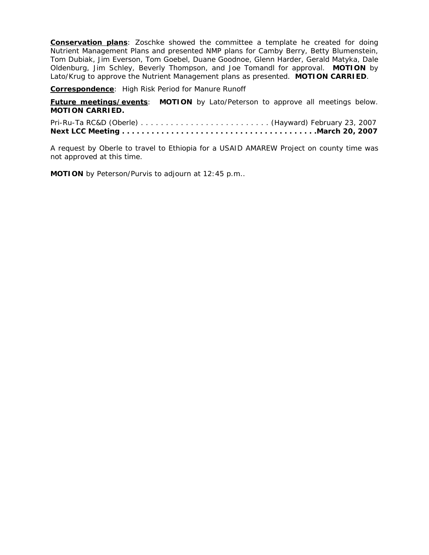**Conservation plans**: Zoschke showed the committee a template he created for doing Nutrient Management Plans and presented NMP plans for Camby Berry, Betty Blumenstein, Tom Dubiak, Jim Everson, Tom Goebel, Duane Goodnoe, Glenn Harder, Gerald Matyka, Dale Oldenburg, Jim Schley, Beverly Thompson, and Joe Tomandl for approval. **MOTION** by Lato/Krug to approve the Nutrient Management plans as presented. **MOTION CARRIED**.

**Correspondence**: *High Risk Period for Manure Runoff*

**Future meetings/events**: **MOTION** by Lato/Peterson to approve all meetings below. **MOTION CARRIED.** 

Pri-Ru-Ta RC&D (Oberle) . . . . . . . . . . . . . . . . . . . . . . . . . . (Hayward) February 23, 2007 **Next LCC Meeting . . . . . . . . . . . . . . . . . . . . . . . . . . . . . . . . . . . . . . . .March 20, 2007**

A request by Oberle to travel to Ethiopia for a USAID AMAREW Project on county time was not approved at this time.

**MOTION** by Peterson/Purvis to adjourn at 12:45 p.m..